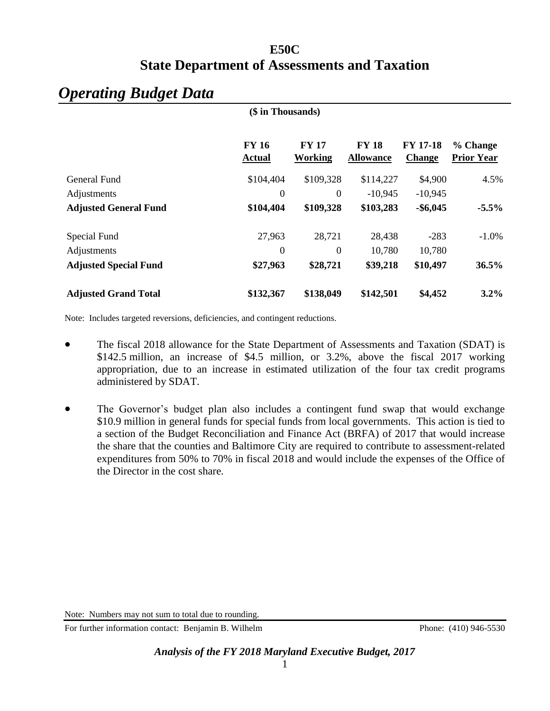# **E50C State Department of Assessments and Taxation**

# *Operating Budget Data*

| (\$ in Thousands)            |                               |                         |                                  |                           |                               |  |  |
|------------------------------|-------------------------------|-------------------------|----------------------------------|---------------------------|-------------------------------|--|--|
|                              | <b>FY 16</b><br><b>Actual</b> | <b>FY 17</b><br>Working | <b>FY 18</b><br><b>Allowance</b> | <b>FY 17-18</b><br>Change | % Change<br><b>Prior Year</b> |  |  |
| General Fund                 | \$104,404                     | \$109,328               | \$114,227                        | \$4,900                   | 4.5%                          |  |  |
| Adjustments                  | $\boldsymbol{0}$              | $\overline{0}$          | $-10,945$                        | $-10,945$                 |                               |  |  |
| <b>Adjusted General Fund</b> | \$104,404                     | \$109,328               | \$103,283                        | $-$ \$6,045               | $-5.5%$                       |  |  |
| Special Fund                 | 27,963                        | 28,721                  | 28,438                           | $-283$                    | $-1.0\%$                      |  |  |
| Adjustments                  | $\overline{0}$                | $\boldsymbol{0}$        | 10,780                           | 10,780                    |                               |  |  |
| <b>Adjusted Special Fund</b> | \$27,963                      | \$28,721                | \$39,218                         | \$10,497                  | 36.5%                         |  |  |
| <b>Adjusted Grand Total</b>  | \$132,367                     | \$138,049               | \$142,501                        | \$4,452                   | $3.2\%$                       |  |  |

Note: Includes targeted reversions, deficiencies, and contingent reductions.

- The fiscal 2018 allowance for the State Department of Assessments and Taxation (SDAT) is \$142.5 million, an increase of \$4.5 million, or 3.2%, above the fiscal 2017 working appropriation, due to an increase in estimated utilization of the four tax credit programs administered by SDAT.
- The Governor's budget plan also includes a contingent fund swap that would exchange \$10.9 million in general funds for special funds from local governments. This action is tied to a section of the Budget Reconciliation and Finance Act (BRFA) of 2017 that would increase the share that the counties and Baltimore City are required to contribute to assessment-related expenditures from 50% to 70% in fiscal 2018 and would include the expenses of the Office of the Director in the cost share.

Note: Numbers may not sum to total due to rounding.

For further information contact: Benjamin B. Wilhelm Phone: (410) 946-5530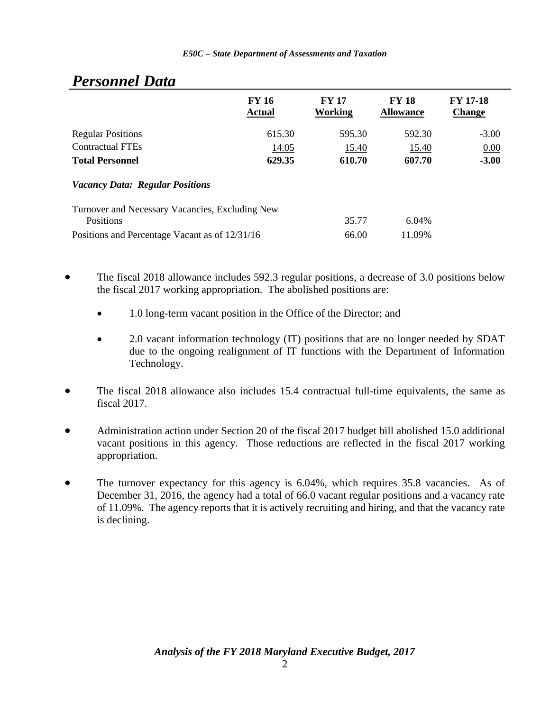|                                                 | <b>FY 16</b><br><b>Actual</b> | <b>FY 17</b><br><b>Working</b> | <b>FY 18</b><br><b>Allowance</b> | <b>FY 17-18</b><br><b>Change</b> |  |  |  |  |
|-------------------------------------------------|-------------------------------|--------------------------------|----------------------------------|----------------------------------|--|--|--|--|
| <b>Regular Positions</b>                        | 615.30                        | 595.30                         | 592.30                           | $-3.00$                          |  |  |  |  |
| <b>Contractual FTEs</b>                         | 14.05                         | 15.40                          | 15.40                            | 0.00                             |  |  |  |  |
| <b>Total Personnel</b>                          | 629.35                        | 610.70                         | 607.70                           | $-3.00$                          |  |  |  |  |
| <b>Vacancy Data: Regular Positions</b>          |                               |                                |                                  |                                  |  |  |  |  |
| Turnover and Necessary Vacancies, Excluding New |                               |                                |                                  |                                  |  |  |  |  |
| Positions                                       |                               | 35.77                          | 6.04%                            |                                  |  |  |  |  |
| Positions and Percentage Vacant as of 12/31/16  |                               | 66.00                          | 11.09%                           |                                  |  |  |  |  |

# *Personnel Data*

- The fiscal 2018 allowance includes 592.3 regular positions, a decrease of 3.0 positions below the fiscal 2017 working appropriation. The abolished positions are:
	- 1.0 long-term vacant position in the Office of the Director; and
	- 2.0 vacant information technology (IT) positions that are no longer needed by SDAT due to the ongoing realignment of IT functions with the Department of Information Technology.
- The fiscal 2018 allowance also includes 15.4 contractual full-time equivalents, the same as fiscal 2017.
- Administration action under Section 20 of the fiscal 2017 budget bill abolished 15.0 additional vacant positions in this agency. Those reductions are reflected in the fiscal 2017 working appropriation.
- The turnover expectancy for this agency is 6.04%, which requires 35.8 vacancies. As of December 31, 2016, the agency had a total of 66.0 vacant regular positions and a vacancy rate of 11.09%. The agency reports that it is actively recruiting and hiring, and that the vacancy rate is declining.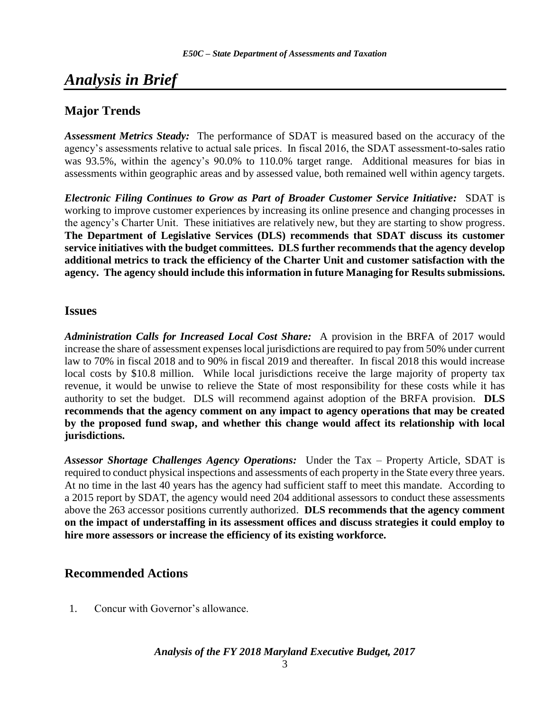# *Analysis in Brief*

## **Major Trends**

*Assessment Metrics Steady:* The performance of SDAT is measured based on the accuracy of the agency's assessments relative to actual sale prices. In fiscal 2016, the SDAT assessment-to-sales ratio was 93.5%, within the agency's 90.0% to 110.0% target range. Additional measures for bias in assessments within geographic areas and by assessed value, both remained well within agency targets.

*Electronic Filing Continues to Grow as Part of Broader Customer Service Initiative:* SDAT is working to improve customer experiences by increasing its online presence and changing processes in the agency's Charter Unit. These initiatives are relatively new, but they are starting to show progress. **The Department of Legislative Services (DLS) recommends that SDAT discuss its customer service initiatives with the budget committees. DLS further recommends that the agency develop additional metrics to track the efficiency of the Charter Unit and customer satisfaction with the agency. The agency should include this information in future Managing for Results submissions.**

### **Issues**

*Administration Calls for Increased Local Cost Share:* A provision in the BRFA of 2017 would increase the share of assessment expenses local jurisdictions are required to pay from 50% under current law to 70% in fiscal 2018 and to 90% in fiscal 2019 and thereafter. In fiscal 2018 this would increase local costs by \$10.8 million. While local jurisdictions receive the large majority of property tax revenue, it would be unwise to relieve the State of most responsibility for these costs while it has authority to set the budget. DLS will recommend against adoption of the BRFA provision. **DLS recommends that the agency comment on any impact to agency operations that may be created by the proposed fund swap, and whether this change would affect its relationship with local jurisdictions.**

*Assessor Shortage Challenges Agency Operations:* Under the Tax – Property Article, SDAT is required to conduct physical inspections and assessments of each property in the State every three years. At no time in the last 40 years has the agency had sufficient staff to meet this mandate. According to a 2015 report by SDAT, the agency would need 204 additional assessors to conduct these assessments above the 263 accessor positions currently authorized. **DLS recommends that the agency comment on the impact of understaffing in its assessment offices and discuss strategies it could employ to hire more assessors or increase the efficiency of its existing workforce.**

### **Recommended Actions**

1. Concur with Governor's allowance.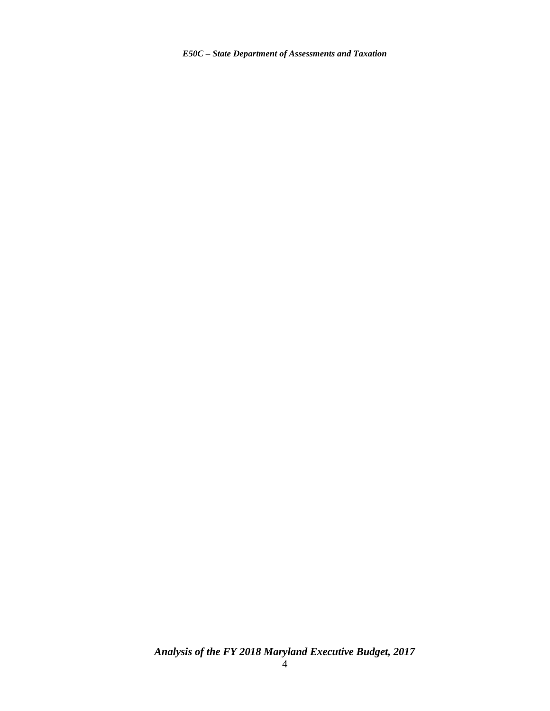*E50C – State Department of Assessments and Taxation*

*Analysis of the FY 2018 Maryland Executive Budget, 2017*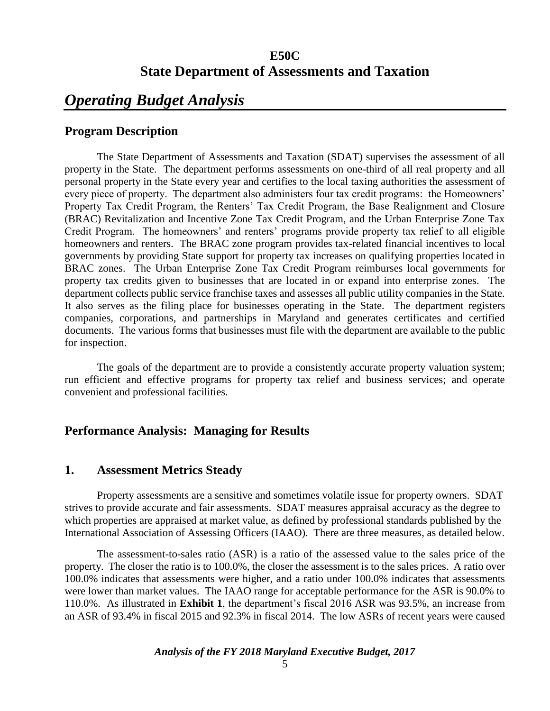# **E50C State Department of Assessments and Taxation**

# *Operating Budget Analysis*

### **Program Description**

The State Department of Assessments and Taxation (SDAT) supervises the assessment of all property in the State. The department performs assessments on one-third of all real property and all personal property in the State every year and certifies to the local taxing authorities the assessment of every piece of property. The department also administers four tax credit programs: the Homeowners' Property Tax Credit Program, the Renters' Tax Credit Program, the Base Realignment and Closure (BRAC) Revitalization and Incentive Zone Tax Credit Program, and the Urban Enterprise Zone Tax Credit Program. The homeowners' and renters' programs provide property tax relief to all eligible homeowners and renters. The BRAC zone program provides tax-related financial incentives to local governments by providing State support for property tax increases on qualifying properties located in BRAC zones. The Urban Enterprise Zone Tax Credit Program reimburses local governments for property tax credits given to businesses that are located in or expand into enterprise zones. The department collects public service franchise taxes and assesses all public utility companies in the State. It also serves as the filing place for businesses operating in the State. The department registers companies, corporations, and partnerships in Maryland and generates certificates and certified documents. The various forms that businesses must file with the department are available to the public for inspection.

The goals of the department are to provide a consistently accurate property valuation system; run efficient and effective programs for property tax relief and business services; and operate convenient and professional facilities.

### **Performance Analysis: Managing for Results**

### **1. Assessment Metrics Steady**

Property assessments are a sensitive and sometimes volatile issue for property owners. SDAT strives to provide accurate and fair assessments. SDAT measures appraisal accuracy as the degree to which properties are appraised at market value, as defined by professional standards published by the International Association of Assessing Officers (IAAO). There are three measures, as detailed below.

The assessment-to-sales ratio (ASR) is a ratio of the assessed value to the sales price of the property. The closer the ratio is to 100.0%, the closer the assessment is to the sales prices. A ratio over 100.0% indicates that assessments were higher, and a ratio under 100.0% indicates that assessments were lower than market values. The IAAO range for acceptable performance for the ASR is 90.0% to 110.0%. As illustrated in **Exhibit 1**, the department's fiscal 2016 ASR was 93.5%, an increase from an ASR of 93.4% in fiscal 2015 and 92.3% in fiscal 2014. The low ASRs of recent years were caused

*Analysis of the FY 2018 Maryland Executive Budget, 2017*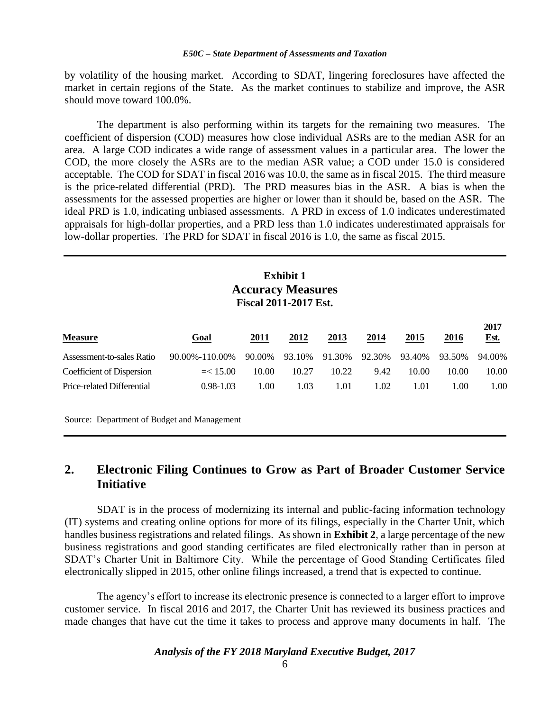by volatility of the housing market. According to SDAT, lingering foreclosures have affected the market in certain regions of the State. As the market continues to stabilize and improve, the ASR should move toward 100.0%.

The department is also performing within its targets for the remaining two measures. The coefficient of dispersion (COD) measures how close individual ASRs are to the median ASR for an area. A large COD indicates a wide range of assessment values in a particular area. The lower the COD, the more closely the ASRs are to the median ASR value; a COD under 15.0 is considered acceptable. The COD for SDAT in fiscal 2016 was 10.0, the same as in fiscal 2015. The third measure is the price-related differential (PRD). The PRD measures bias in the ASR. A bias is when the assessments for the assessed properties are higher or lower than it should be, based on the ASR. The ideal PRD is 1.0, indicating unbiased assessments. A PRD in excess of 1.0 indicates underestimated appraisals for high-dollar properties, and a PRD less than 1.0 indicates underestimated appraisals for low-dollar properties. The PRD for SDAT in fiscal 2016 is 1.0, the same as fiscal 2015.

### **Exhibit 1 Accuracy Measures Fiscal 2011-2017 Est.**

**2017**

| <b>Measure</b>             | <u>Goal</u>    | 2011   | 2012  | 2013          | 2014          | 2015  | 2016   | 2017<br><u>Est.</u> |
|----------------------------|----------------|--------|-------|---------------|---------------|-------|--------|---------------------|
| Assessment-to-sales Ratio  | 90.00%-110.00% | 90.00% |       | 93.10% 91.30% | 92.30% 93.40% |       | 93.50% | 94.00%              |
| Coefficient of Dispersion  | $=< 15.00$     | 10.00  | 10.27 | 10.22         | 9.42          | 10.00 | 10.00  | 10.00               |
| Price-related Differential | $0.98 - 1.03$  | 1.00   | 1.03  | 1.01          | 1.02          | 1.01  | 1.00   | 1.00                |

Source: Department of Budget and Management

### **2. Electronic Filing Continues to Grow as Part of Broader Customer Service Initiative**

SDAT is in the process of modernizing its internal and public-facing information technology (IT) systems and creating online options for more of its filings, especially in the Charter Unit, which handles business registrations and related filings. As shown in **Exhibit 2**, a large percentage of the new business registrations and good standing certificates are filed electronically rather than in person at SDAT's Charter Unit in Baltimore City. While the percentage of Good Standing Certificates filed electronically slipped in 2015, other online filings increased, a trend that is expected to continue.

The agency's effort to increase its electronic presence is connected to a larger effort to improve customer service. In fiscal 2016 and 2017, the Charter Unit has reviewed its business practices and made changes that have cut the time it takes to process and approve many documents in half. The

#### *Analysis of the FY 2018 Maryland Executive Budget, 2017*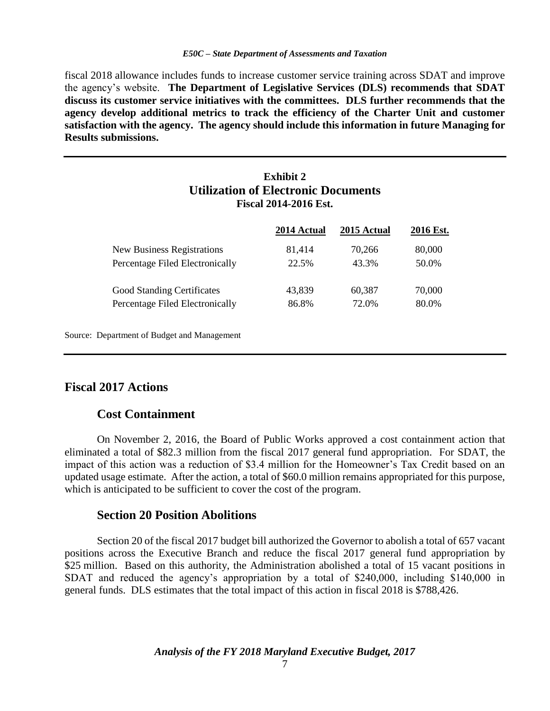#### *E50C – State Department of Assessments and Taxation*

fiscal 2018 allowance includes funds to increase customer service training across SDAT and improve the agency's website. **The Department of Legislative Services (DLS) recommends that SDAT discuss its customer service initiatives with the committees. DLS further recommends that the agency develop additional metrics to track the efficiency of the Charter Unit and customer satisfaction with the agency. The agency should include this information in future Managing for Results submissions.**

### **Exhibit 2 Utilization of Electronic Documents Fiscal 2014-2016 Est.**

|                                 | 2014 Actual | 2015 Actual | 2016 Est. |
|---------------------------------|-------------|-------------|-----------|
| New Business Registrations      | 81,414      | 70.266      | 80,000    |
| Percentage Filed Electronically | 22.5%       | 43.3%       | 50.0%     |
| Good Standing Certificates      | 43,839      | 60,387      | 70,000    |
| Percentage Filed Electronically | 86.8%       | 72.0%       | 80.0%     |

Source: Department of Budget and Management

### **Fiscal 2017 Actions**

### **Cost Containment**

On November 2, 2016, the Board of Public Works approved a cost containment action that eliminated a total of \$82.3 million from the fiscal 2017 general fund appropriation. For SDAT, the impact of this action was a reduction of \$3.4 million for the Homeowner's Tax Credit based on an updated usage estimate. After the action, a total of \$60.0 million remains appropriated for this purpose, which is anticipated to be sufficient to cover the cost of the program.

### **Section 20 Position Abolitions**

Section 20 of the fiscal 2017 budget bill authorized the Governor to abolish a total of 657 vacant positions across the Executive Branch and reduce the fiscal 2017 general fund appropriation by \$25 million. Based on this authority, the Administration abolished a total of 15 vacant positions in SDAT and reduced the agency's appropriation by a total of \$240,000, including \$140,000 in general funds. DLS estimates that the total impact of this action in fiscal 2018 is \$788,426.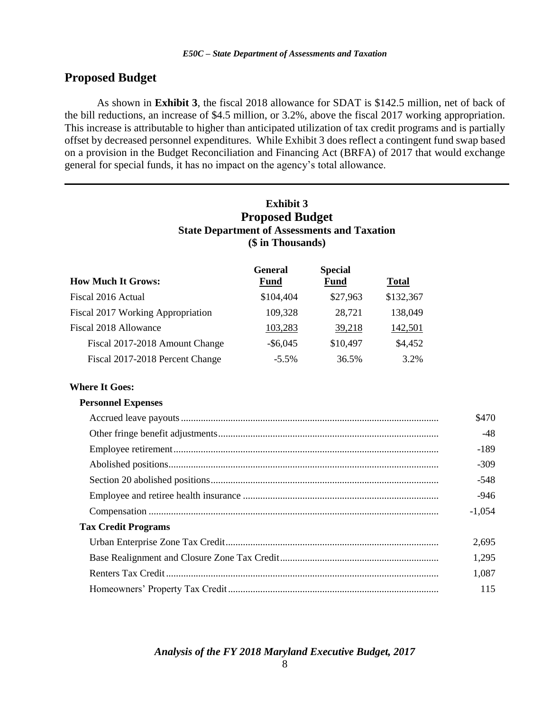### **Proposed Budget**

As shown in **Exhibit 3**, the fiscal 2018 allowance for SDAT is \$142.5 million, net of back of the bill reductions, an increase of \$4.5 million, or 3.2%, above the fiscal 2017 working appropriation. This increase is attributable to higher than anticipated utilization of tax credit programs and is partially offset by decreased personnel expenditures. While Exhibit 3 does reflect a contingent fund swap based on a provision in the Budget Reconciliation and Financing Act (BRFA) of 2017 that would exchange general for special funds, it has no impact on the agency's total allowance.

**Exhibit 3**

| <b>Proposed Budget</b><br><b>State Department of Assessments and Taxation</b><br>(\$ in Thousands) |                               |                               |              |          |  |  |  |
|----------------------------------------------------------------------------------------------------|-------------------------------|-------------------------------|--------------|----------|--|--|--|
| <b>How Much It Grows:</b>                                                                          | <b>General</b><br><b>Fund</b> | <b>Special</b><br><b>Fund</b> | <b>Total</b> |          |  |  |  |
| Fiscal 2016 Actual                                                                                 | \$104,404                     | \$27,963                      | \$132,367    |          |  |  |  |
| Fiscal 2017 Working Appropriation                                                                  | 109,328                       | 28,721                        | 138,049      |          |  |  |  |
| Fiscal 2018 Allowance                                                                              | 103,283                       | 39,218                        | 142,501      |          |  |  |  |
| Fiscal 2017-2018 Amount Change                                                                     | $-$ \$6,045                   | \$10,497                      | \$4,452      |          |  |  |  |
| Fiscal 2017-2018 Percent Change                                                                    | $-5.5\%$                      | 36.5%                         | 3.2%         |          |  |  |  |
| <b>Where It Goes:</b>                                                                              |                               |                               |              |          |  |  |  |
| <b>Personnel Expenses</b>                                                                          |                               |                               |              |          |  |  |  |
|                                                                                                    |                               |                               |              | \$470    |  |  |  |
|                                                                                                    |                               |                               |              | $-48$    |  |  |  |
|                                                                                                    |                               |                               |              | $-189$   |  |  |  |
|                                                                                                    |                               |                               |              | $-309$   |  |  |  |
|                                                                                                    |                               |                               |              | $-548$   |  |  |  |
|                                                                                                    |                               |                               |              | $-946$   |  |  |  |
|                                                                                                    |                               |                               |              | $-1,054$ |  |  |  |
| <b>Tax Credit Programs</b>                                                                         |                               |                               |              |          |  |  |  |
|                                                                                                    |                               |                               |              | 2,695    |  |  |  |
|                                                                                                    |                               |                               |              | 1,295    |  |  |  |
|                                                                                                    |                               |                               |              | 1,087    |  |  |  |

#### *Analysis of the FY 2018 Maryland Executive Budget, 2017*

Homeowners' Property Tax Credit..................................................................................... 115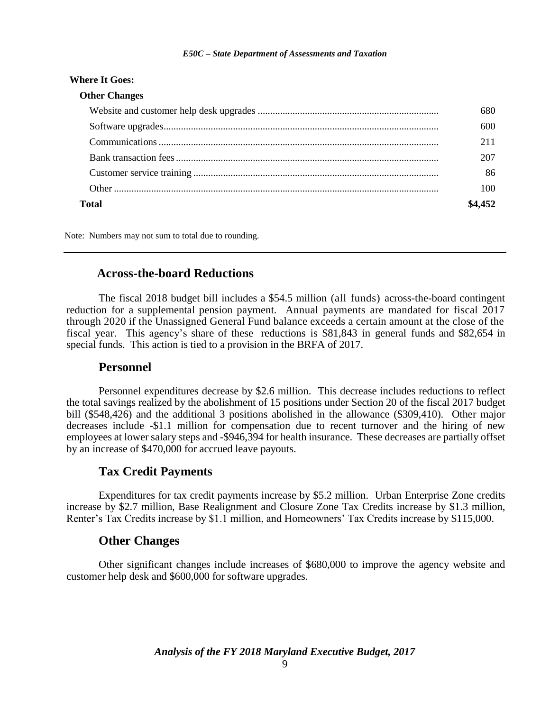#### *E50C – State Department of Assessments and Taxation*

| Where It Goes:       |      |
|----------------------|------|
| <b>Other Changes</b> |      |
|                      | 680  |
|                      | 600  |
|                      | 2.11 |
|                      | 207  |
|                      | 86   |
|                      | 100  |
| Total                |      |

Note: Numbers may not sum to total due to rounding.

### **Across-the-board Reductions**

The fiscal 2018 budget bill includes a \$54.5 million (all funds) across-the-board contingent reduction for a supplemental pension payment. Annual payments are mandated for fiscal 2017 through 2020 if the Unassigned General Fund balance exceeds a certain amount at the close of the fiscal year. This agency's share of these reductions is \$81,843 in general funds and \$82,654 in special funds. This action is tied to a provision in the BRFA of 2017.

### **Personnel**

 $W_1, \ldots, U_n$ 

Personnel expenditures decrease by \$2.6 million. This decrease includes reductions to reflect the total savings realized by the abolishment of 15 positions under Section 20 of the fiscal 2017 budget bill (\$548,426) and the additional 3 positions abolished in the allowance (\$309,410). Other major decreases include -\$1.1 million for compensation due to recent turnover and the hiring of new employees at lower salary steps and -\$946,394 for health insurance. These decreases are partially offset by an increase of \$470,000 for accrued leave payouts.

### **Tax Credit Payments**

Expenditures for tax credit payments increase by \$5.2 million. Urban Enterprise Zone credits increase by \$2.7 million, Base Realignment and Closure Zone Tax Credits increase by \$1.3 million, Renter's Tax Credits increase by \$1.1 million, and Homeowners' Tax Credits increase by \$115,000.

### **Other Changes**

Other significant changes include increases of \$680,000 to improve the agency website and customer help desk and \$600,000 for software upgrades.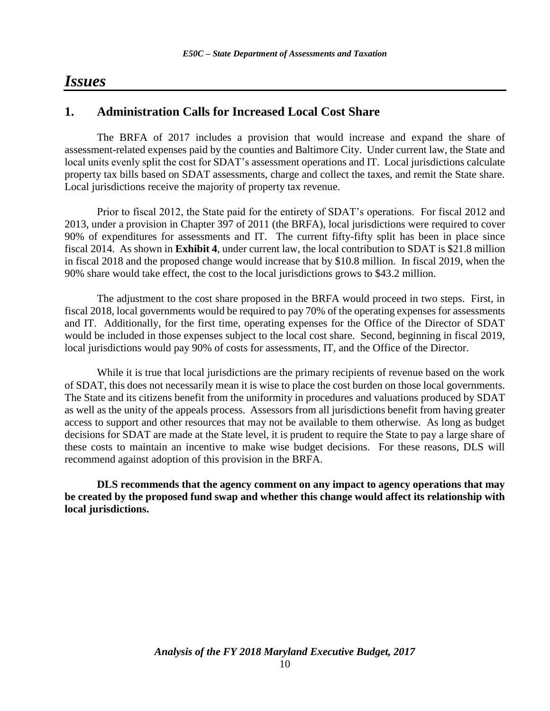## *Issues*

### **1. Administration Calls for Increased Local Cost Share**

The BRFA of 2017 includes a provision that would increase and expand the share of assessment-related expenses paid by the counties and Baltimore City. Under current law, the State and local units evenly split the cost for SDAT's assessment operations and IT. Local jurisdictions calculate property tax bills based on SDAT assessments, charge and collect the taxes, and remit the State share. Local jurisdictions receive the majority of property tax revenue.

Prior to fiscal 2012, the State paid for the entirety of SDAT's operations. For fiscal 2012 and 2013, under a provision in Chapter 397 of 2011 (the BRFA), local jurisdictions were required to cover 90% of expenditures for assessments and IT. The current fifty-fifty split has been in place since fiscal 2014. As shown in **Exhibit 4**, under current law, the local contribution to SDAT is \$21.8 million in fiscal 2018 and the proposed change would increase that by \$10.8 million. In fiscal 2019, when the 90% share would take effect, the cost to the local jurisdictions grows to \$43.2 million.

The adjustment to the cost share proposed in the BRFA would proceed in two steps. First, in fiscal 2018, local governments would be required to pay 70% of the operating expenses for assessments and IT. Additionally, for the first time, operating expenses for the Office of the Director of SDAT would be included in those expenses subject to the local cost share. Second, beginning in fiscal 2019, local jurisdictions would pay 90% of costs for assessments, IT, and the Office of the Director.

While it is true that local jurisdictions are the primary recipients of revenue based on the work of SDAT, this does not necessarily mean it is wise to place the cost burden on those local governments. The State and its citizens benefit from the uniformity in procedures and valuations produced by SDAT as well as the unity of the appeals process. Assessors from all jurisdictions benefit from having greater access to support and other resources that may not be available to them otherwise. As long as budget decisions for SDAT are made at the State level, it is prudent to require the State to pay a large share of these costs to maintain an incentive to make wise budget decisions. For these reasons, DLS will recommend against adoption of this provision in the BRFA.

**DLS recommends that the agency comment on any impact to agency operations that may be created by the proposed fund swap and whether this change would affect its relationship with local jurisdictions.**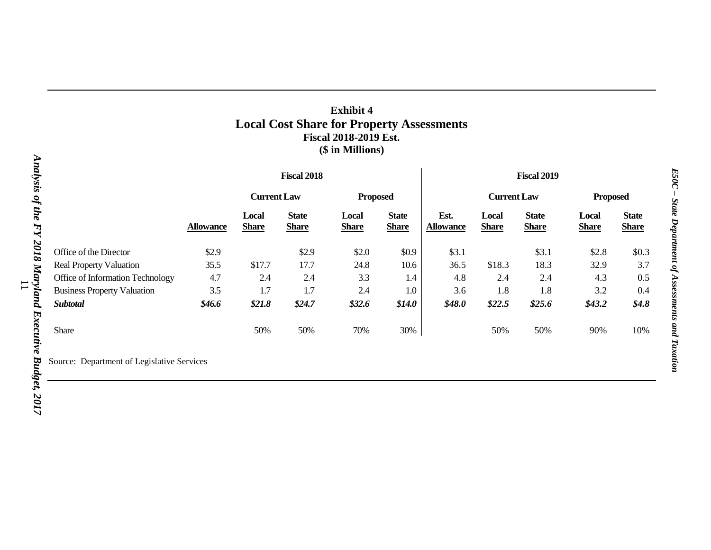### **Exhibit 4 Local Cost Share for Property Assessments Fiscal 2018-2019 Est. (\$ in Millions)**

|                                            | <b>Fiscal 2018</b> |                                       |                              |                       |                                       |                          |                       | <b>Fiscal 2019</b>           |                       |                              |
|--------------------------------------------|--------------------|---------------------------------------|------------------------------|-----------------------|---------------------------------------|--------------------------|-----------------------|------------------------------|-----------------------|------------------------------|
|                                            |                    | <b>Current Law</b><br><b>Proposed</b> |                              |                       | <b>Current Law</b><br><b>Proposed</b> |                          |                       |                              |                       |                              |
|                                            | <b>Allowance</b>   | Local<br><b>Share</b>                 | <b>State</b><br><b>Share</b> | Local<br><b>Share</b> | <b>State</b><br><b>Share</b>          | Est.<br><b>Allowance</b> | Local<br><b>Share</b> | <b>State</b><br><b>Share</b> | Local<br><b>Share</b> | <b>State</b><br><b>Share</b> |
| Office of the Director                     | \$2.9              |                                       | \$2.9                        | \$2.0                 | \$0.9                                 | \$3.1                    |                       | \$3.1                        | \$2.8                 | \$0.3\$                      |
| <b>Real Property Valuation</b>             | 35.5               | \$17.7                                | 17.7                         | 24.8                  | 10.6                                  | 36.5                     | \$18.3                | 18.3                         | 32.9                  | 3.7                          |
| Office of Information Technology           | 4.7                | 2.4                                   | 2.4                          | 3.3                   | 1.4                                   | 4.8                      | 2.4                   | 2.4                          | 4.3                   | 0.5                          |
| <b>Business Property Valuation</b>         | 3.5                | 1.7                                   | 1.7                          | 2.4                   | 1.0                                   | 3.6                      | 1.8                   | 1.8                          | 3.2                   | 0.4                          |
| <b>Subtotal</b>                            | \$46.6\$           | \$21.8\$                              | \$24.7                       | \$32.6                | \$14.0                                | \$48.0                   | \$22.5                | \$25.6                       | \$43.2\$              | \$4.8\$                      |
| Share                                      |                    | 50%                                   | 50%                          | 70%                   | 30%                                   |                          | 50%                   | 50%                          | 90%                   | 10%                          |
| Source: Department of Legislative Services |                    |                                       |                              |                       |                                       |                          |                       |                              |                       |                              |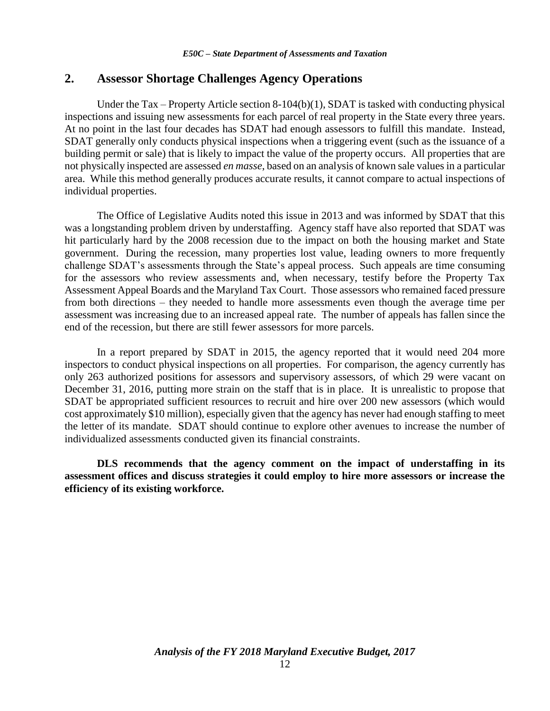### **2. Assessor Shortage Challenges Agency Operations**

Under the Tax – Property Article section 8-104(b)(1), SDAT is tasked with conducting physical inspections and issuing new assessments for each parcel of real property in the State every three years. At no point in the last four decades has SDAT had enough assessors to fulfill this mandate. Instead, SDAT generally only conducts physical inspections when a triggering event (such as the issuance of a building permit or sale) that is likely to impact the value of the property occurs. All properties that are not physically inspected are assessed *en masse*, based on an analysis of known sale values in a particular area. While this method generally produces accurate results, it cannot compare to actual inspections of individual properties.

The Office of Legislative Audits noted this issue in 2013 and was informed by SDAT that this was a longstanding problem driven by understaffing. Agency staff have also reported that SDAT was hit particularly hard by the 2008 recession due to the impact on both the housing market and State government. During the recession, many properties lost value, leading owners to more frequently challenge SDAT's assessments through the State's appeal process. Such appeals are time consuming for the assessors who review assessments and, when necessary, testify before the Property Tax Assessment Appeal Boards and the Maryland Tax Court. Those assessors who remained faced pressure from both directions – they needed to handle more assessments even though the average time per assessment was increasing due to an increased appeal rate. The number of appeals has fallen since the end of the recession, but there are still fewer assessors for more parcels.

In a report prepared by SDAT in 2015, the agency reported that it would need 204 more inspectors to conduct physical inspections on all properties. For comparison, the agency currently has only 263 authorized positions for assessors and supervisory assessors, of which 29 were vacant on December 31, 2016, putting more strain on the staff that is in place. It is unrealistic to propose that SDAT be appropriated sufficient resources to recruit and hire over 200 new assessors (which would cost approximately \$10 million), especially given that the agency has never had enough staffing to meet the letter of its mandate. SDAT should continue to explore other avenues to increase the number of individualized assessments conducted given its financial constraints.

**DLS recommends that the agency comment on the impact of understaffing in its assessment offices and discuss strategies it could employ to hire more assessors or increase the efficiency of its existing workforce.**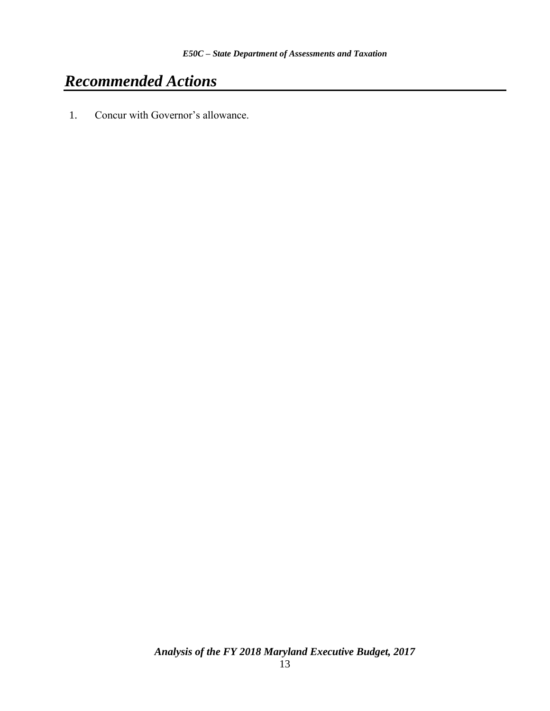# *Recommended Actions*

1. Concur with Governor's allowance.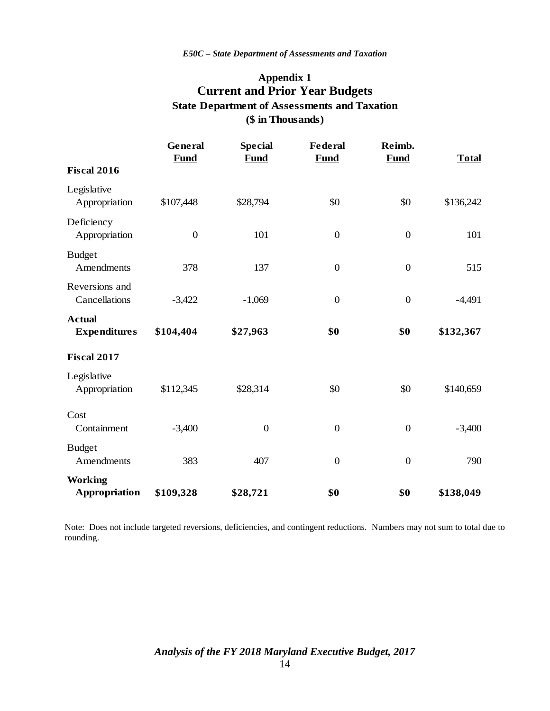### **Appendix 1 Current and Prior Year Budgets (\$ in Thousands) State Department of Assessments and Taxation**

|                                      | General<br>Fund  | <b>Special</b><br><b>Fund</b> | <b>Federal</b><br>Fund | Reimb.<br><b>Fund</b> | <b>Total</b> |
|--------------------------------------|------------------|-------------------------------|------------------------|-----------------------|--------------|
| <b>Fiscal 2016</b>                   |                  |                               |                        |                       |              |
| Legislative<br>Appropriation         | \$107,448        | \$28,794                      | \$0                    | \$0                   | \$136,242    |
| Deficiency<br>Appropriation          | $\boldsymbol{0}$ | 101                           | $\boldsymbol{0}$       | $\boldsymbol{0}$      | 101          |
| <b>Budget</b><br>Amendments          | 378              | 137                           | $\mathbf{0}$           | $\overline{0}$        | 515          |
| Reversions and<br>Cancellations      | $-3,422$         | $-1,069$                      | $\mathbf{0}$           | $\mathbf{0}$          | $-4,491$     |
| <b>Actual</b><br><b>Expenditures</b> | \$104,404        | \$27,963                      | \$0                    | \$0                   | \$132,367    |
| <b>Fiscal 2017</b>                   |                  |                               |                        |                       |              |
| Legislative<br>Appropriation         | \$112,345        | \$28,314                      | \$0                    | \$0                   | \$140,659    |
| Cost<br>Containment                  | $-3,400$         | $\overline{0}$                | $\mathbf{0}$           | $\mathbf{0}$          | $-3,400$     |
| <b>Budget</b><br>Amendments          | 383              | 407                           | $\mathbf{0}$           | $\overline{0}$        | 790          |
| <b>Working</b><br>Appropriation      | \$109,328        | \$28,721                      | \$0                    | \$0                   | \$138,049    |

Note: Does not include targeted reversions, deficiencies, and contingent reductions. Numbers may not sum to total due to rounding.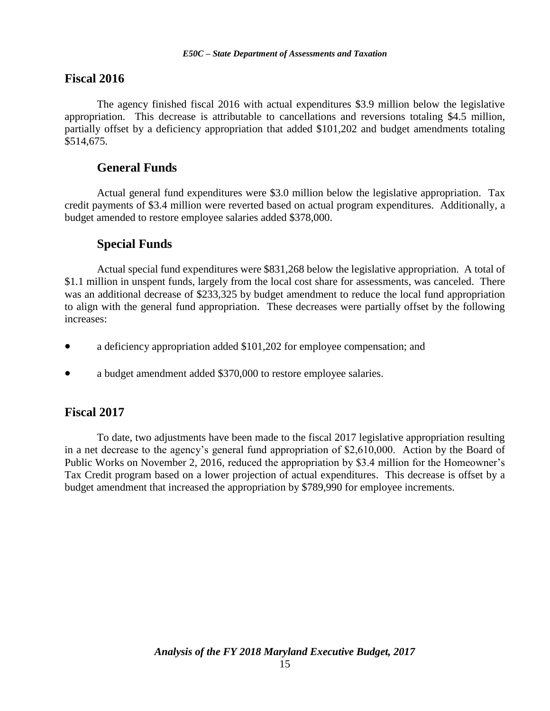### **Fiscal 2016**

The agency finished fiscal 2016 with actual expenditures \$3.9 million below the legislative appropriation. This decrease is attributable to cancellations and reversions totaling \$4.5 million, partially offset by a deficiency appropriation that added \$101,202 and budget amendments totaling \$514,675.

### **General Funds**

Actual general fund expenditures were \$3.0 million below the legislative appropriation. Tax credit payments of \$3.4 million were reverted based on actual program expenditures. Additionally, a budget amended to restore employee salaries added \$378,000.

### **Special Funds**

Actual special fund expenditures were \$831,268 below the legislative appropriation. A total of \$1.1 million in unspent funds, largely from the local cost share for assessments, was canceled. There was an additional decrease of \$233,325 by budget amendment to reduce the local fund appropriation to align with the general fund appropriation. These decreases were partially offset by the following increases:

- a deficiency appropriation added \$101,202 for employee compensation; and
- a budget amendment added \$370,000 to restore employee salaries.

### **Fiscal 2017**

To date, two adjustments have been made to the fiscal 2017 legislative appropriation resulting in a net decrease to the agency's general fund appropriation of \$2,610,000. Action by the Board of Public Works on November 2, 2016, reduced the appropriation by \$3.4 million for the Homeowner's Tax Credit program based on a lower projection of actual expenditures. This decrease is offset by a budget amendment that increased the appropriation by \$789,990 for employee increments.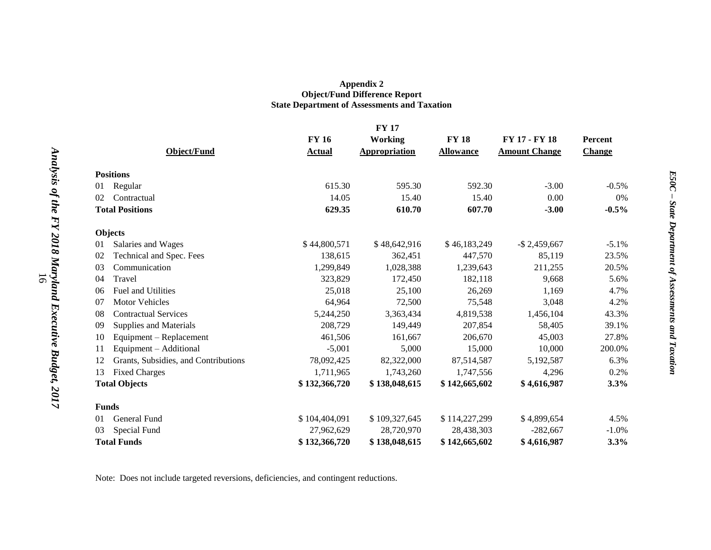#### **Appendix 2 Object/Fund Difference Report State Department of Assessments and Taxation**

| <b>FY 17</b> |                                      |               |                      |                  |                      |               |
|--------------|--------------------------------------|---------------|----------------------|------------------|----------------------|---------------|
|              |                                      | <b>FY 16</b>  | <b>Working</b>       | <b>FY 18</b>     | FY 17 - FY 18        | Percent       |
|              | Object/Fund                          | <b>Actual</b> | <b>Appropriation</b> | <b>Allowance</b> | <b>Amount Change</b> | <b>Change</b> |
|              |                                      |               |                      |                  |                      |               |
|              | <b>Positions</b>                     |               |                      |                  |                      |               |
| 01           | Regular                              | 615.30        | 595.30               | 592.30           | $-3.00$              | $-0.5\%$      |
| 02           | Contractual                          | 14.05         | 15.40                | 15.40            | 0.00                 | $0\%$         |
|              | <b>Total Positions</b>               | 629.35        | 610.70               | 607.70           | $-3.00$              | $-0.5%$       |
|              | <b>Objects</b>                       |               |                      |                  |                      |               |
| 01           | Salaries and Wages                   | \$44,800,571  | \$48,642,916         | \$46,183,249     | $-$ \$ 2,459,667     | $-5.1\%$      |
| 02           | Technical and Spec. Fees             | 138,615       | 362,451              | 447,570          | 85,119               | 23.5%         |
| 03           | Communication                        | 1,299,849     | 1,028,388            | 1,239,643        | 211,255              | 20.5%         |
| 04           | Travel                               | 323,829       | 172,450              | 182,118          | 9,668                | 5.6%          |
| 06           | Fuel and Utilities                   | 25,018        | 25,100               | 26,269           | 1,169                | 4.7%          |
| 07           | <b>Motor Vehicles</b>                | 64,964        | 72,500               | 75,548           | 3,048                | 4.2%          |
| 08           | <b>Contractual Services</b>          | 5,244,250     | 3,363,434            | 4,819,538        | 1,456,104            | 43.3%         |
| 09           | Supplies and Materials               | 208,729       | 149,449              | 207,854          | 58,405               | 39.1%         |
| 10           | Equipment - Replacement              | 461,506       | 161,667              | 206,670          | 45,003               | 27.8%         |
| 11           | Equipment - Additional               | $-5,001$      | 5,000                | 15,000           | 10,000               | 200.0%        |
| 12           | Grants, Subsidies, and Contributions | 78,092,425    | 82,322,000           | 87,514,587       | 5,192,587            | 6.3%          |
| 13           | <b>Fixed Charges</b>                 | 1,711,965     | 1,743,260            | 1,747,556        | 4,296                | 0.2%          |
|              | <b>Total Objects</b>                 | \$132,366,720 | \$138,048,615        | \$142,665,602    | \$4,616,987          | 3.3%          |
| <b>Funds</b> |                                      |               |                      |                  |                      |               |
| 01           | General Fund                         | \$104,404,091 | \$109,327,645        | \$114,227,299    | \$4,899,654          | 4.5%          |
| 03           | Special Fund                         | 27,962,629    | 28,720,970           | 28,438,303       | $-282,667$           | $-1.0%$       |
|              | <b>Total Funds</b>                   | \$132,366,720 | \$138,048,615        | \$142,665,602    | \$4,616,987          | 3.3%          |

Note: Does not include targeted reversions, deficiencies, and contingent reductions.